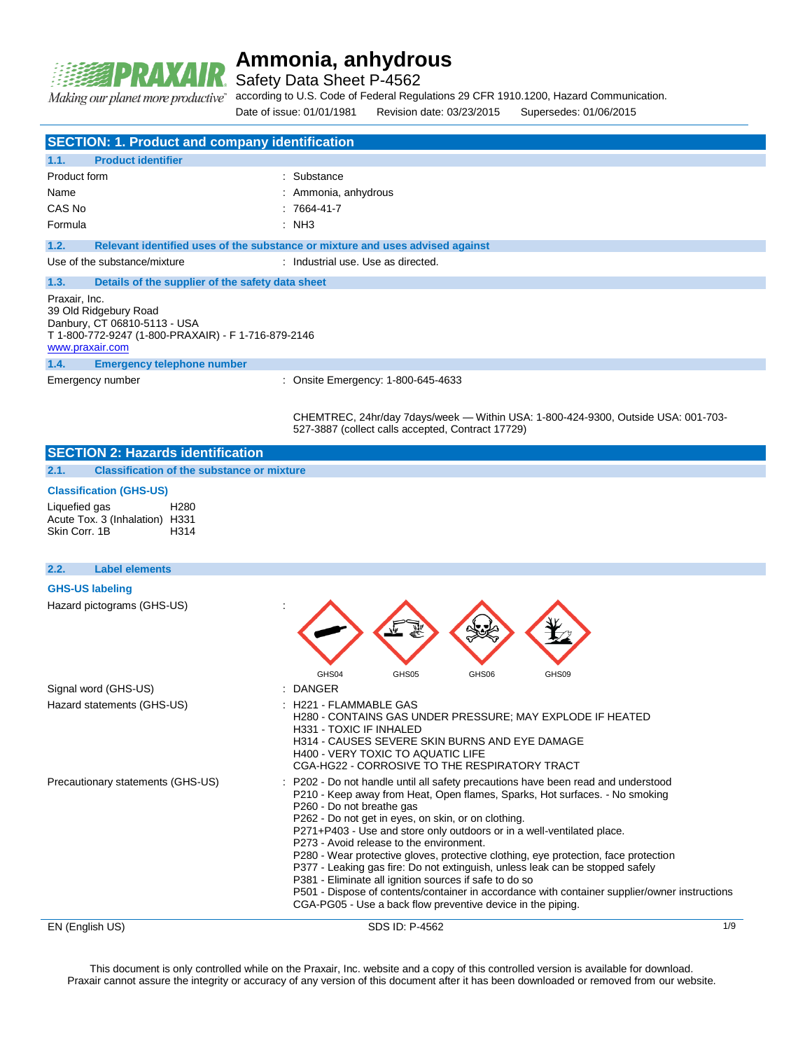

i.

# **Ammonia, anhydrous**

Safety Data Sheet P-4562

Making our planet more productive"

according to U.S. Code of Federal Regulations 29 CFR 1910.1200, Hazard Communication.

Date of issue: 01/01/1981 Revision date: 03/23/2015 Supersedes: 01/06/2015

| <b>SECTION: 1. Product and company identification</b>                                                                                            |                                                                                                                                                                                                                                                                                                                                                                                                                                                                                                                                                                                                                                                                                                                                                                            |
|--------------------------------------------------------------------------------------------------------------------------------------------------|----------------------------------------------------------------------------------------------------------------------------------------------------------------------------------------------------------------------------------------------------------------------------------------------------------------------------------------------------------------------------------------------------------------------------------------------------------------------------------------------------------------------------------------------------------------------------------------------------------------------------------------------------------------------------------------------------------------------------------------------------------------------------|
| 1.1.<br><b>Product identifier</b>                                                                                                                |                                                                                                                                                                                                                                                                                                                                                                                                                                                                                                                                                                                                                                                                                                                                                                            |
| Product form                                                                                                                                     | : Substance                                                                                                                                                                                                                                                                                                                                                                                                                                                                                                                                                                                                                                                                                                                                                                |
| Name                                                                                                                                             | Ammonia, anhydrous                                                                                                                                                                                                                                                                                                                                                                                                                                                                                                                                                                                                                                                                                                                                                         |
| CAS No                                                                                                                                           | 7664-41-7                                                                                                                                                                                                                                                                                                                                                                                                                                                                                                                                                                                                                                                                                                                                                                  |
| Formula                                                                                                                                          | : NH3                                                                                                                                                                                                                                                                                                                                                                                                                                                                                                                                                                                                                                                                                                                                                                      |
| 1.2.                                                                                                                                             | Relevant identified uses of the substance or mixture and uses advised against                                                                                                                                                                                                                                                                                                                                                                                                                                                                                                                                                                                                                                                                                              |
| Use of the substance/mixture                                                                                                                     | : Industrial use. Use as directed.                                                                                                                                                                                                                                                                                                                                                                                                                                                                                                                                                                                                                                                                                                                                         |
| 1.3.<br>Details of the supplier of the safety data sheet                                                                                         |                                                                                                                                                                                                                                                                                                                                                                                                                                                                                                                                                                                                                                                                                                                                                                            |
| Praxair, Inc.<br>39 Old Ridgebury Road<br>Danbury, CT 06810-5113 - USA<br>T 1-800-772-9247 (1-800-PRAXAIR) - F 1-716-879-2146<br>www.praxair.com |                                                                                                                                                                                                                                                                                                                                                                                                                                                                                                                                                                                                                                                                                                                                                                            |
| 1.4.<br><b>Emergency telephone number</b>                                                                                                        |                                                                                                                                                                                                                                                                                                                                                                                                                                                                                                                                                                                                                                                                                                                                                                            |
| Emergency number                                                                                                                                 | : Onsite Emergency: 1-800-645-4633                                                                                                                                                                                                                                                                                                                                                                                                                                                                                                                                                                                                                                                                                                                                         |
|                                                                                                                                                  | CHEMTREC, 24hr/day 7days/week — Within USA: 1-800-424-9300, Outside USA: 001-703-<br>527-3887 (collect calls accepted, Contract 17729)                                                                                                                                                                                                                                                                                                                                                                                                                                                                                                                                                                                                                                     |
| <b>SECTION 2: Hazards identification</b>                                                                                                         |                                                                                                                                                                                                                                                                                                                                                                                                                                                                                                                                                                                                                                                                                                                                                                            |
| <b>Classification of the substance or mixture</b><br>2.1.                                                                                        |                                                                                                                                                                                                                                                                                                                                                                                                                                                                                                                                                                                                                                                                                                                                                                            |
| <b>Classification (GHS-US)</b>                                                                                                                   |                                                                                                                                                                                                                                                                                                                                                                                                                                                                                                                                                                                                                                                                                                                                                                            |
| Liquefied gas<br>H <sub>280</sub><br>Acute Tox. 3 (Inhalation) H331<br>Skin Corr, 1B<br>H314                                                     |                                                                                                                                                                                                                                                                                                                                                                                                                                                                                                                                                                                                                                                                                                                                                                            |
| <b>Label elements</b><br>2.2.                                                                                                                    |                                                                                                                                                                                                                                                                                                                                                                                                                                                                                                                                                                                                                                                                                                                                                                            |
| <b>GHS-US labeling</b>                                                                                                                           |                                                                                                                                                                                                                                                                                                                                                                                                                                                                                                                                                                                                                                                                                                                                                                            |
| Hazard pictograms (GHS-US)                                                                                                                       | GHS05<br>GHS06<br>GHS04<br>GHS09                                                                                                                                                                                                                                                                                                                                                                                                                                                                                                                                                                                                                                                                                                                                           |
| Signal word (GHS-US)                                                                                                                             | <b>DANGER</b>                                                                                                                                                                                                                                                                                                                                                                                                                                                                                                                                                                                                                                                                                                                                                              |
| Hazard statements (GHS-US)                                                                                                                       | H221 - FLAMMABLE GAS<br>H280 - CONTAINS GAS UNDER PRESSURE; MAY EXPLODE IF HEATED<br><b>H331 - TOXIC IF INHALED</b><br>H314 - CAUSES SEVERE SKIN BURNS AND EYE DAMAGE<br><b>H400 - VERY TOXIC TO AQUATIC LIFE</b><br>CGA-HG22 - CORROSIVE TO THE RESPIRATORY TRACT                                                                                                                                                                                                                                                                                                                                                                                                                                                                                                         |
| Precautionary statements (GHS-US)                                                                                                                | P202 - Do not handle until all safety precautions have been read and understood<br>P210 - Keep away from Heat, Open flames, Sparks, Hot surfaces. - No smoking<br>P260 - Do not breathe gas<br>P262 - Do not get in eyes, on skin, or on clothing.<br>P271+P403 - Use and store only outdoors or in a well-ventilated place.<br>P273 - Avoid release to the environment.<br>P280 - Wear protective gloves, protective clothing, eye protection, face protection<br>P377 - Leaking gas fire: Do not extinguish, unless leak can be stopped safely<br>P381 - Eliminate all ignition sources if safe to do so<br>P501 - Dispose of contents/container in accordance with container supplier/owner instructions<br>CGA-PG05 - Use a back flow preventive device in the piping. |
|                                                                                                                                                  |                                                                                                                                                                                                                                                                                                                                                                                                                                                                                                                                                                                                                                                                                                                                                                            |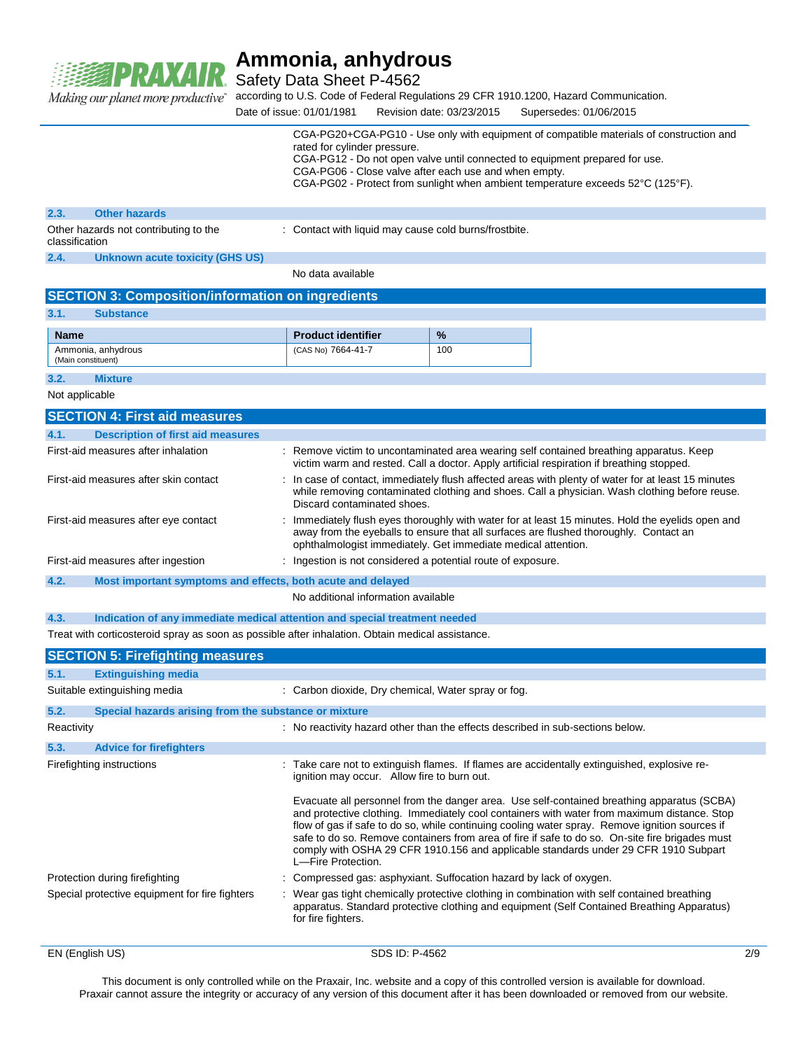

Safety Data Sheet P-4562

according to U.S. Code of Federal Regulations 29 CFR 1910.1200, Hazard Communication. Making our planet more productive"

Date of issue: 01/01/1981 Revision date: 03/23/2015 Supersedes: 01/06/2015 CGA-PG20+CGA-PG10 - Use only with equipment of compatible materials of construction and rated for cylinder pressure. CGA-PG12 - Do not open valve until connected to equipment prepared for use. CGA-PG06 - Close valve after each use and when empty. CGA-PG02 - Protect from sunlight when ambient temperature exceeds 52°C (125°F).

| 2.3.           | <b>Other hazards</b>                  |                                                       |
|----------------|---------------------------------------|-------------------------------------------------------|
| classification | Other hazards not contributing to the | : Contact with liquid may cause cold burns/frostbite. |
| 2.4.           | Unknown acute toxicity (GHS US)       |                                                       |
|                |                                       | No data available                                     |

|  | <b>SECTION 3: Composition/information on ingredients</b> |  |  |
|--|----------------------------------------------------------|--|--|
|--|----------------------------------------------------------|--|--|

| 3.1.               | <b>Substance</b>   |                           |               |
|--------------------|--------------------|---------------------------|---------------|
| <b>Name</b>        |                    | <b>Product identifier</b> | $\frac{9}{6}$ |
| (Main constituent) | Ammonia, anhydrous | (CAS No) 7664-41-7        | 100           |

**3.2. Mixture**

Not applicable

| <b>SECTION 4: First aid measures</b>                                |                                                                                                                                                                                                                                                             |
|---------------------------------------------------------------------|-------------------------------------------------------------------------------------------------------------------------------------------------------------------------------------------------------------------------------------------------------------|
| 4.1.<br><b>Description of first aid measures</b>                    |                                                                                                                                                                                                                                                             |
| First-aid measures after inhalation                                 | : Remove victim to uncontaminated area wearing self contained breathing apparatus. Keep<br>victim warm and rested. Call a doctor. Apply artificial respiration if breathing stopped.                                                                        |
| First-aid measures after skin contact                               | : In case of contact, immediately flush affected areas with plenty of water for at least 15 minutes<br>while removing contaminated clothing and shoes. Call a physician. Wash clothing before reuse.<br>Discard contaminated shoes.                         |
| First-aid measures after eye contact                                | : Immediately flush eyes thoroughly with water for at least 15 minutes. Hold the evelids open and<br>away from the eyeballs to ensure that all surfaces are flushed thoroughly. Contact an<br>ophthalmologist immediately. Get immediate medical attention. |
| First-aid measures after ingestion                                  | : Ingestion is not considered a potential route of exposure.                                                                                                                                                                                                |
| 4.2.<br>Most important symptoms and effects, both acute and delayed |                                                                                                                                                                                                                                                             |
|                                                                     | No additional information available                                                                                                                                                                                                                         |

**4.3. Indication of any immediate medical attention and special treatment needed**

Treat with corticosteroid spray as soon as possible after inhalation. Obtain medical assistance.

|                           | <b>SECTION 5: Firefighting measures</b>               |                                                                                                                                                                                                                                                                                                                                                                                                                                                                                                             |
|---------------------------|-------------------------------------------------------|-------------------------------------------------------------------------------------------------------------------------------------------------------------------------------------------------------------------------------------------------------------------------------------------------------------------------------------------------------------------------------------------------------------------------------------------------------------------------------------------------------------|
| 5.1.                      | <b>Extinguishing media</b>                            |                                                                                                                                                                                                                                                                                                                                                                                                                                                                                                             |
|                           | Suitable extinguishing media                          | : Carbon dioxide, Dry chemical, Water spray or fog.                                                                                                                                                                                                                                                                                                                                                                                                                                                         |
| 5.2.                      | Special hazards arising from the substance or mixture |                                                                                                                                                                                                                                                                                                                                                                                                                                                                                                             |
| Reactivity                |                                                       | : No reactivity hazard other than the effects described in sub-sections below.                                                                                                                                                                                                                                                                                                                                                                                                                              |
| 5.3.                      | <b>Advice for firefighters</b>                        |                                                                                                                                                                                                                                                                                                                                                                                                                                                                                                             |
| Firefighting instructions |                                                       | : Take care not to extinguish flames. If flames are accidentally extinguished, explosive re-<br>ignition may occur. Allow fire to burn out.                                                                                                                                                                                                                                                                                                                                                                 |
|                           |                                                       | Evacuate all personnel from the danger area. Use self-contained breathing apparatus (SCBA)<br>and protective clothing. Immediately cool containers with water from maximum distance. Stop<br>flow of gas if safe to do so, while continuing cooling water spray. Remove ignition sources if<br>safe to do so. Remove containers from area of fire if safe to do so. On-site fire brigades must<br>comply with OSHA 29 CFR 1910.156 and applicable standards under 29 CFR 1910 Subpart<br>L-Fire Protection. |
|                           | Protection during firefighting                        | : Compressed gas: asphyxiant. Suffocation hazard by lack of oxygen.                                                                                                                                                                                                                                                                                                                                                                                                                                         |
|                           | Special protective equipment for fire fighters        | : Wear gas tight chemically protective clothing in combination with self contained breathing<br>apparatus. Standard protective clothing and equipment (Self Contained Breathing Apparatus)<br>for fire fighters.                                                                                                                                                                                                                                                                                            |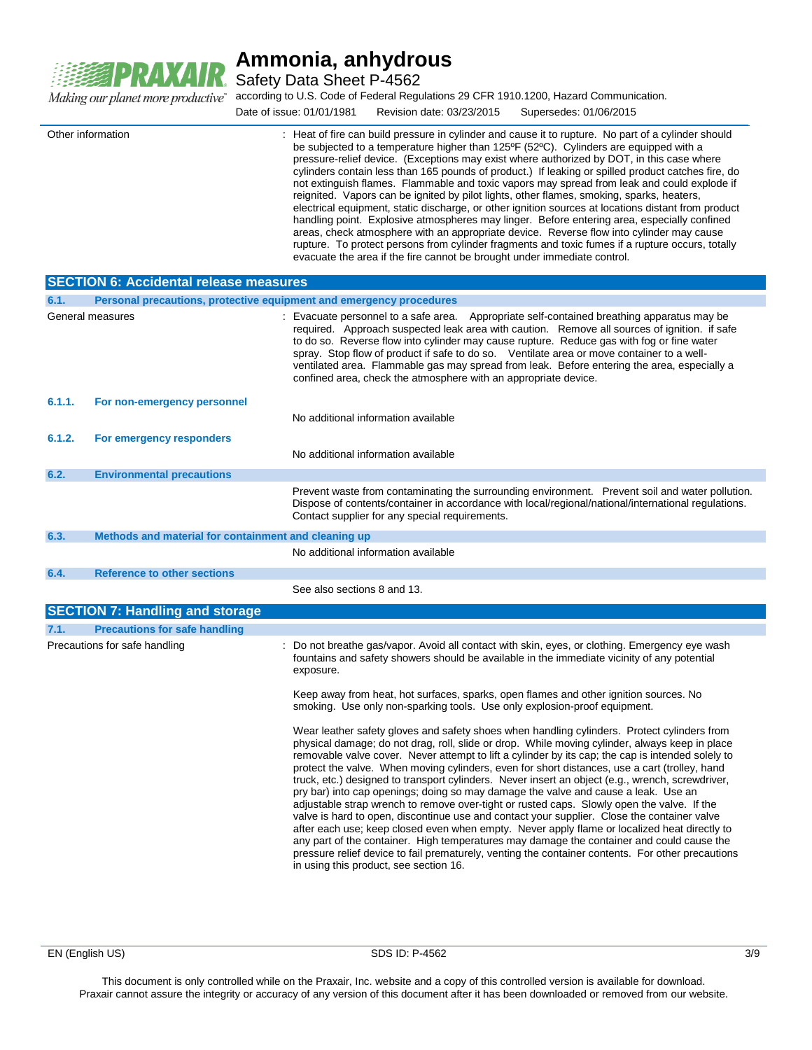

Safety Data Sheet P-4562

according to U.S. Code of Federal Regulations 29 CFR 1910.1200, Hazard Communication.

Date of issue: 01/01/1981 Revision date: 03/23/2015 Supersedes: 01/06/2015

|                                                      | : Heat of fire can build pressure in cylinder and cause it to rupture. No part of a cylinder should<br>be subjected to a temperature higher than 125°F (52°C). Cylinders are equipped with a<br>pressure-relief device. (Exceptions may exist where authorized by DOT, in this case where<br>cylinders contain less than 165 pounds of product.) If leaking or spilled product catches fire, do<br>not extinguish flames. Flammable and toxic vapors may spread from leak and could explode if<br>reignited. Vapors can be ignited by pilot lights, other flames, smoking, sparks, heaters,<br>electrical equipment, static discharge, or other ignition sources at locations distant from product<br>handling point. Explosive atmospheres may linger. Before entering area, especially confined<br>areas, check atmosphere with an appropriate device. Reverse flow into cylinder may cause<br>rupture. To protect persons from cylinder fragments and toxic fumes if a rupture occurs, totally<br>evacuate the area if the fire cannot be brought under immediate control.                |
|------------------------------------------------------|----------------------------------------------------------------------------------------------------------------------------------------------------------------------------------------------------------------------------------------------------------------------------------------------------------------------------------------------------------------------------------------------------------------------------------------------------------------------------------------------------------------------------------------------------------------------------------------------------------------------------------------------------------------------------------------------------------------------------------------------------------------------------------------------------------------------------------------------------------------------------------------------------------------------------------------------------------------------------------------------------------------------------------------------------------------------------------------------|
| <b>SECTION 6: Accidental release measures</b>        |                                                                                                                                                                                                                                                                                                                                                                                                                                                                                                                                                                                                                                                                                                                                                                                                                                                                                                                                                                                                                                                                                              |
|                                                      | Personal precautions, protective equipment and emergency procedures                                                                                                                                                                                                                                                                                                                                                                                                                                                                                                                                                                                                                                                                                                                                                                                                                                                                                                                                                                                                                          |
|                                                      | : Evacuate personnel to a safe area.<br>Appropriate self-contained breathing apparatus may be<br>required. Approach suspected leak area with caution. Remove all sources of ignition. if safe<br>to do so. Reverse flow into cylinder may cause rupture. Reduce gas with fog or fine water<br>spray. Stop flow of product if safe to do so. Ventilate area or move container to a well-<br>ventilated area. Flammable gas may spread from leak. Before entering the area, especially a<br>confined area, check the atmosphere with an appropriate device.                                                                                                                                                                                                                                                                                                                                                                                                                                                                                                                                    |
| For non-emergency personnel                          |                                                                                                                                                                                                                                                                                                                                                                                                                                                                                                                                                                                                                                                                                                                                                                                                                                                                                                                                                                                                                                                                                              |
|                                                      | No additional information available                                                                                                                                                                                                                                                                                                                                                                                                                                                                                                                                                                                                                                                                                                                                                                                                                                                                                                                                                                                                                                                          |
| For emergency responders                             |                                                                                                                                                                                                                                                                                                                                                                                                                                                                                                                                                                                                                                                                                                                                                                                                                                                                                                                                                                                                                                                                                              |
|                                                      | No additional information available                                                                                                                                                                                                                                                                                                                                                                                                                                                                                                                                                                                                                                                                                                                                                                                                                                                                                                                                                                                                                                                          |
| <b>Environmental precautions</b>                     |                                                                                                                                                                                                                                                                                                                                                                                                                                                                                                                                                                                                                                                                                                                                                                                                                                                                                                                                                                                                                                                                                              |
|                                                      | Prevent waste from contaminating the surrounding environment. Prevent soil and water pollution.<br>Dispose of contents/container in accordance with local/regional/national/international regulations.<br>Contact supplier for any special requirements.                                                                                                                                                                                                                                                                                                                                                                                                                                                                                                                                                                                                                                                                                                                                                                                                                                     |
| Methods and material for containment and cleaning up |                                                                                                                                                                                                                                                                                                                                                                                                                                                                                                                                                                                                                                                                                                                                                                                                                                                                                                                                                                                                                                                                                              |
|                                                      | No additional information available                                                                                                                                                                                                                                                                                                                                                                                                                                                                                                                                                                                                                                                                                                                                                                                                                                                                                                                                                                                                                                                          |
| <b>Reference to other sections</b>                   |                                                                                                                                                                                                                                                                                                                                                                                                                                                                                                                                                                                                                                                                                                                                                                                                                                                                                                                                                                                                                                                                                              |
|                                                      | See also sections 8 and 13.                                                                                                                                                                                                                                                                                                                                                                                                                                                                                                                                                                                                                                                                                                                                                                                                                                                                                                                                                                                                                                                                  |
|                                                      |                                                                                                                                                                                                                                                                                                                                                                                                                                                                                                                                                                                                                                                                                                                                                                                                                                                                                                                                                                                                                                                                                              |
|                                                      |                                                                                                                                                                                                                                                                                                                                                                                                                                                                                                                                                                                                                                                                                                                                                                                                                                                                                                                                                                                                                                                                                              |
|                                                      | : Do not breathe gas/vapor. Avoid all contact with skin, eyes, or clothing. Emergency eye wash<br>fountains and safety showers should be available in the immediate vicinity of any potential<br>exposure.                                                                                                                                                                                                                                                                                                                                                                                                                                                                                                                                                                                                                                                                                                                                                                                                                                                                                   |
|                                                      | Keep away from heat, hot surfaces, sparks, open flames and other ignition sources. No<br>smoking. Use only non-sparking tools. Use only explosion-proof equipment.                                                                                                                                                                                                                                                                                                                                                                                                                                                                                                                                                                                                                                                                                                                                                                                                                                                                                                                           |
|                                                      | Wear leather safety gloves and safety shoes when handling cylinders. Protect cylinders from<br>physical damage; do not drag, roll, slide or drop. While moving cylinder, always keep in place<br>removable valve cover. Never attempt to lift a cylinder by its cap; the cap is intended solely to<br>protect the valve. When moving cylinders, even for short distances, use a cart (trolley, hand<br>truck, etc.) designed to transport cylinders. Never insert an object (e.g., wrench, screwdriver,<br>pry bar) into cap openings; doing so may damage the valve and cause a leak. Use an<br>adjustable strap wrench to remove over-tight or rusted caps. Slowly open the valve. If the<br>valve is hard to open, discontinue use and contact your supplier. Close the container valve<br>after each use; keep closed even when empty. Never apply flame or localized heat directly to<br>any part of the container. High temperatures may damage the container and could cause the<br>pressure relief device to fail prematurely, venting the container contents. For other precautions |
|                                                      | Other information<br>General measures<br><b>SECTION 7: Handling and storage</b><br><b>Precautions for safe handling</b><br>Precautions for safe handling                                                                                                                                                                                                                                                                                                                                                                                                                                                                                                                                                                                                                                                                                                                                                                                                                                                                                                                                     |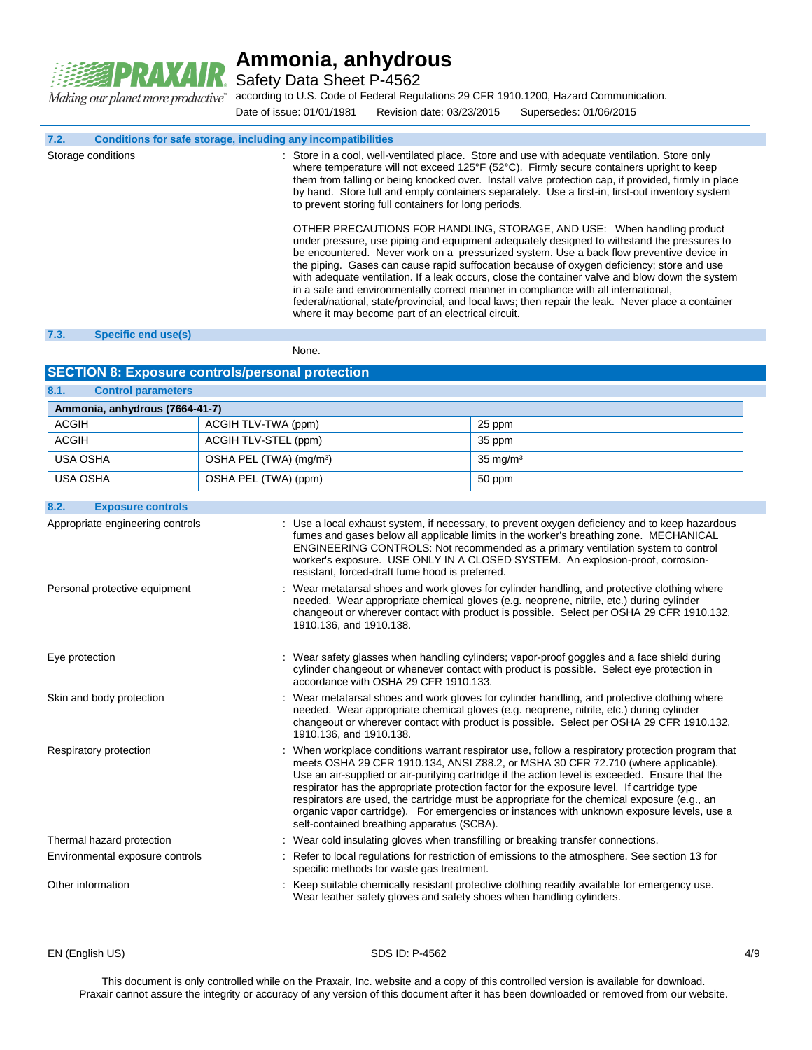

Safety Data Sheet P-4562

Making our planet more productive"

according to U.S. Code of Federal Regulations 29 CFR 1910.1200, Hazard Communication.

Date of issue: 01/01/1981 Revision date: 03/23/2015 Supersedes: 01/06/2015

**7.2. Conditions for safe storage, including any incompatibilities**

Storage conditions **interpretatal in a cool**, well-ventilated place. Store and use with adequate ventilation. Store only where temperature will not exceed 125°F (52°C). Firmly secure containers upright to keep them from falling or being knocked over. Install valve protection cap, if provided, firmly in place by hand. Store full and empty containers separately. Use a first-in, first-out inventory system to prevent storing full containers for long periods. OTHER PRECAUTIONS FOR HANDLING, STORAGE, AND USE: When handling product under pressure, use piping and equipment adequately designed to withstand the pressures to be encountered. Never work on a pressurized system. Use a back flow preventive device in the piping. Gases can cause rapid suffocation because of oxygen deficiency; store and use

with adequate ventilation. If a leak occurs, close the container valve and blow down the system in a safe and environmentally correct manner in compliance with all international, federal/national, state/provincial, and local laws; then repair the leak. Never place a container where it may become part of an electrical circuit.

#### **7.3. Specific end use(s)**

None.

#### **SECTION 8: Exposure controls/personal protection**

**8.1. Control parameters Ammonia, anhydrous (7664-41-7)** ACGIH ACGIH TLV-TWA (ppm) 25 ppm ACGIH ACGIH RU-STEL (ppm) 35 ppm USA OSHA OSHA PEL (TWA) (mg/m³) 35 mg/m³ USA OSHA **OSHA PEL (TWA) (ppm)** 50 ppm

**8.2. Exposure controls** Appropriate engineering controls : Use a local exhaust system, if necessary, to prevent oxygen deficiency and to keep hazardous fumes and gases below all applicable limits in the worker's breathing zone. MECHANICAL ENGINEERING CONTROLS: Not recommended as a primary ventilation system to control worker's exposure. USE ONLY IN A CLOSED SYSTEM. An explosion-proof, corrosionresistant, forced-draft fume hood is preferred. Personal protective equipment : Wear metatarsal shoes and work gloves for cylinder handling, and protective clothing where needed. Wear appropriate chemical gloves (e.g. neoprene, nitrile, etc.) during cylinder changeout or wherever contact with product is possible. Select per OSHA 29 CFR 1910.132, 1910.136, and 1910.138. Eye protection **interprotection** : Wear safety glasses when handling cylinders; vapor-proof goggles and a face shield during cylinder changeout or whenever contact with product is possible. Select eye protection in accordance with OSHA 29 CFR 1910.133. Skin and body protection : Wear metatarsal shoes and work gloves for cylinder handling, and protective clothing where needed. Wear appropriate chemical gloves (e.g. neoprene, nitrile, etc.) during cylinder changeout or wherever contact with product is possible. Select per OSHA 29 CFR 1910.132, 1910.136, and 1910.138. Respiratory protection : When workplace conditions warrant respirator use, follow a respiratory protection program that meets OSHA 29 CFR 1910.134, ANSI Z88.2, or MSHA 30 CFR 72.710 (where applicable). Use an air-supplied or air-purifying cartridge if the action level is exceeded. Ensure that the respirator has the appropriate protection factor for the exposure level. If cartridge type respirators are used, the cartridge must be appropriate for the chemical exposure (e.g., an organic vapor cartridge). For emergencies or instances with unknown exposure levels, use a self-contained breathing apparatus (SCBA). Thermal hazard protection : Wear cold insulating gloves when transfilling or breaking transfer connections. Environmental exposure controls : Refer to local regulations for restriction of emissions to the atmosphere. See section 13 for specific methods for waste gas treatment. Other information **interest and the suitable chemically resistant protective clothing readily available for emergency use.** Wear leather safety gloves and safety shoes when handling cylinders.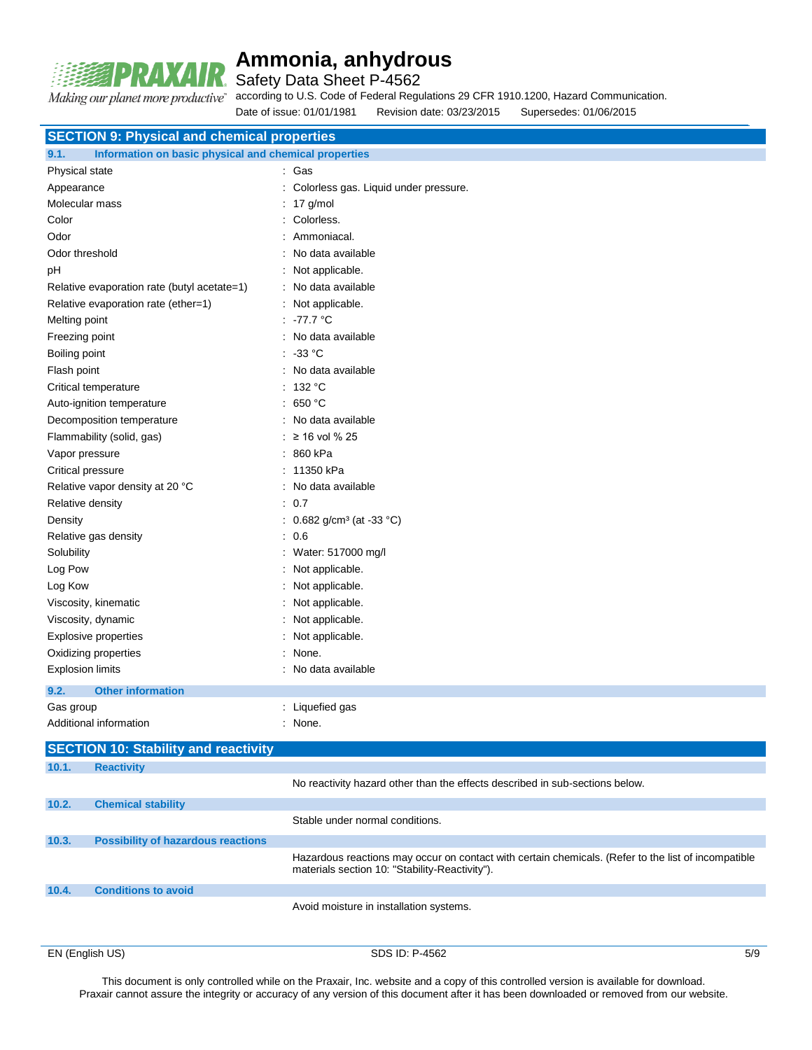

Safety Data Sheet P-4562

Making our planet more productive"

according to U.S. Code of Federal Regulations 29 CFR 1910.1200, Hazard Communication.

Date of issue: 01/01/1981 Revision date: 03/23/2015 Supersedes: 01/06/2015

| <b>SECTION 9: Physical and chemical properties</b>            |                                                                                                                                                       |
|---------------------------------------------------------------|-------------------------------------------------------------------------------------------------------------------------------------------------------|
| Information on basic physical and chemical properties<br>9.1. |                                                                                                                                                       |
| Physical state                                                | : Gas                                                                                                                                                 |
| Appearance                                                    | : Colorless gas. Liquid under pressure.                                                                                                               |
| Molecular mass                                                | $: 17$ g/mol                                                                                                                                          |
| Color                                                         | : Colorless.                                                                                                                                          |
| Odor                                                          | Ammoniacal.                                                                                                                                           |
| Odor threshold                                                | No data available                                                                                                                                     |
| pH                                                            | : Not applicable.                                                                                                                                     |
| Relative evaporation rate (butyl acetate=1)                   | : No data available                                                                                                                                   |
| Relative evaporation rate (ether=1)                           | : Not applicable.                                                                                                                                     |
| Melting point                                                 | : 77.7 °C                                                                                                                                             |
| Freezing point                                                | : No data available                                                                                                                                   |
| Boiling point                                                 | $: 33^{\circ}$ C                                                                                                                                      |
| Flash point                                                   | : No data available                                                                                                                                   |
| Critical temperature                                          | : 132 °C                                                                                                                                              |
| Auto-ignition temperature                                     | : 650 °C                                                                                                                                              |
| Decomposition temperature                                     | : No data available                                                                                                                                   |
| Flammability (solid, gas)                                     | ≥ 16 vol % 25                                                                                                                                         |
| Vapor pressure                                                | : 860 kPa                                                                                                                                             |
| Critical pressure                                             | : 11350 kPa                                                                                                                                           |
| Relative vapor density at 20 °C                               | : No data available                                                                                                                                   |
| Relative density                                              | : 0.7                                                                                                                                                 |
| Density                                                       | : 0.682 g/cm <sup>3</sup> (at -33 °C)                                                                                                                 |
| Relative gas density                                          | : 0.6                                                                                                                                                 |
| Solubility                                                    | : Water: 517000 mg/l                                                                                                                                  |
| Log Pow                                                       | : Not applicable.                                                                                                                                     |
| Log Kow                                                       | : Not applicable.                                                                                                                                     |
| Viscosity, kinematic                                          | : Not applicable.                                                                                                                                     |
| Viscosity, dynamic                                            | : Not applicable.                                                                                                                                     |
| <b>Explosive properties</b>                                   | : Not applicable.                                                                                                                                     |
| Oxidizing properties                                          | : None.                                                                                                                                               |
| <b>Explosion limits</b>                                       | : No data available                                                                                                                                   |
| <b>Other information</b><br>9.2.                              |                                                                                                                                                       |
| Gas group                                                     | : Liquefied gas                                                                                                                                       |
| Additional information                                        | : None.                                                                                                                                               |
| <b>SECTION 10: Stability and reactivity</b>                   |                                                                                                                                                       |
| 10.1.<br><b>Reactivity</b>                                    |                                                                                                                                                       |
|                                                               | No reactivity hazard other than the effects described in sub-sections below.                                                                          |
| 10.2.<br><b>Chemical stability</b>                            |                                                                                                                                                       |
|                                                               | Stable under normal conditions.                                                                                                                       |
| <b>Possibility of hazardous reactions</b><br>10.3.            |                                                                                                                                                       |
|                                                               | Hazardous reactions may occur on contact with certain chemicals. (Refer to the list of incompatible<br>materials section 10: "Stability-Reactivity"). |
| <b>Conditions to avoid</b><br>10.4.                           |                                                                                                                                                       |
|                                                               | Avoid moisture in installation systems.                                                                                                               |
|                                                               |                                                                                                                                                       |

EN (English US) 5/9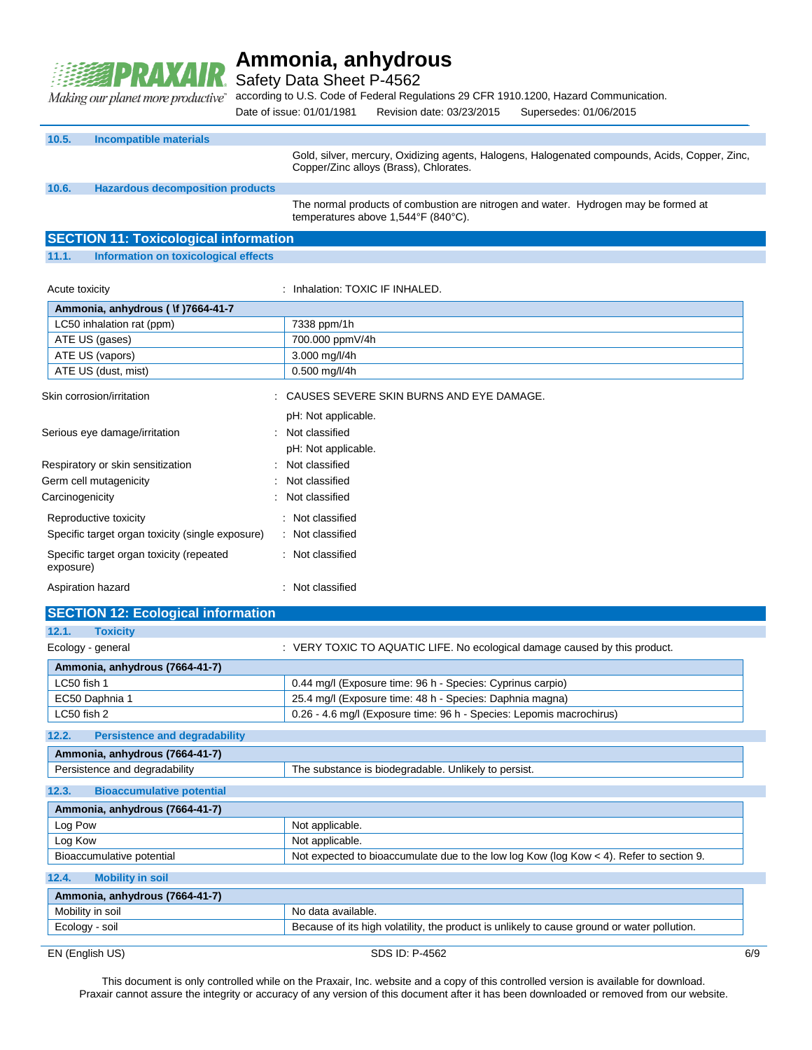

Safety Data Sheet P-4562

Making our planet more productive" according to U.S. Code of Federal Regulations 29 CFR 1910.1200, Hazard Communication.

Date of issue: 01/01/1981 Revision date: 03/23/2015 Supersedes: 01/06/2015

| 10.5. | Incompatible materials                  |                                                                                                                                          |
|-------|-----------------------------------------|------------------------------------------------------------------------------------------------------------------------------------------|
|       |                                         | Gold, silver, mercury, Oxidizing agents, Halogens, Halogenated compounds, Acids, Copper, Zinc,<br>Copper/Zinc alloys (Brass), Chlorates. |
| 10.6. | <b>Hazardous decomposition products</b> |                                                                                                                                          |
|       |                                         | The normal products of combustion are nitrogen and water. Hydrogen may be formed at<br>temperatures above 1,544°F (840°C).               |

### **SECTION 11: Toxicological information**

### **11.1. Information on toxicological effects**

| Acute toxicity                                        | : Inhalation: TOXIC IF INHALED.            |
|-------------------------------------------------------|--------------------------------------------|
| Ammonia, anhydrous ( \f )7664-41-7                    |                                            |
| LC50 inhalation rat (ppm)                             | 7338 ppm/1h                                |
| ATE US (gases)                                        | 700.000 ppmV/4h                            |
| ATE US (vapors)                                       | 3.000 mg/l/4h                              |
| ATE US (dust, mist)                                   | $0.500$ mg/l/4h                            |
| Skin corrosion/irritation                             | : CAUSES SEVERE SKIN BURNS AND EYE DAMAGE. |
|                                                       | pH: Not applicable.                        |
| Serious eye damage/irritation                         | : Not classified                           |
|                                                       | pH: Not applicable.                        |
| Respiratory or skin sensitization                     | : Not classified                           |
| Germ cell mutagenicity                                | : Not classified                           |
| Carcinogenicity                                       | : Not classified                           |
| Reproductive toxicity                                 | : Not classified                           |
| Specific target organ toxicity (single exposure)      | : Not classified                           |
| Specific target organ toxicity (repeated<br>exposure) | : Not classified                           |
| Aspiration hazard                                     | : Not classified                           |

| <b>SECTION 12: Ecological information</b>                                             |                                                                                           |  |
|---------------------------------------------------------------------------------------|-------------------------------------------------------------------------------------------|--|
| 12.1.<br><b>Toxicity</b>                                                              |                                                                                           |  |
| Ecology - general                                                                     | : VERY TOXIC TO AQUATIC LIFE. No ecological damage caused by this product.                |  |
| Ammonia, anhydrous (7664-41-7)                                                        |                                                                                           |  |
| LC50 fish 1                                                                           | 0.44 mg/l (Exposure time: 96 h - Species: Cyprinus carpio)                                |  |
| EC50 Daphnia 1                                                                        | 25.4 mg/l (Exposure time: 48 h - Species: Daphnia magna)                                  |  |
| LC50 fish 2                                                                           | 0.26 - 4.6 mg/l (Exposure time: 96 h - Species: Lepomis macrochirus)                      |  |
| <b>Persistence and degradability</b><br>12.2.                                         |                                                                                           |  |
| Ammonia, anhydrous (7664-41-7)                                                        |                                                                                           |  |
| Persistence and degradability<br>The substance is biodegradable. Unlikely to persist. |                                                                                           |  |
| 12.3.<br><b>Bioaccumulative potential</b>                                             |                                                                                           |  |
| Ammonia, anhydrous (7664-41-7)                                                        |                                                                                           |  |
| Log Pow                                                                               | Not applicable.                                                                           |  |
| Log Kow                                                                               | Not applicable.                                                                           |  |
| Bioaccumulative potential                                                             | Not expected to bioaccumulate due to the low log Kow (log Kow $<$ 4). Refer to section 9. |  |
| 12.4.<br><b>Mobility in soil</b>                                                      |                                                                                           |  |

| Ammonia, anhydrous (7664-41-7) |                                                                                             |
|--------------------------------|---------------------------------------------------------------------------------------------|
| Mobility in soil               | No data available.                                                                          |
| Ecology - soil                 | Because of its high volatility, the product is unlikely to cause ground or water pollution. |
|                                |                                                                                             |

EN (English US) 6/9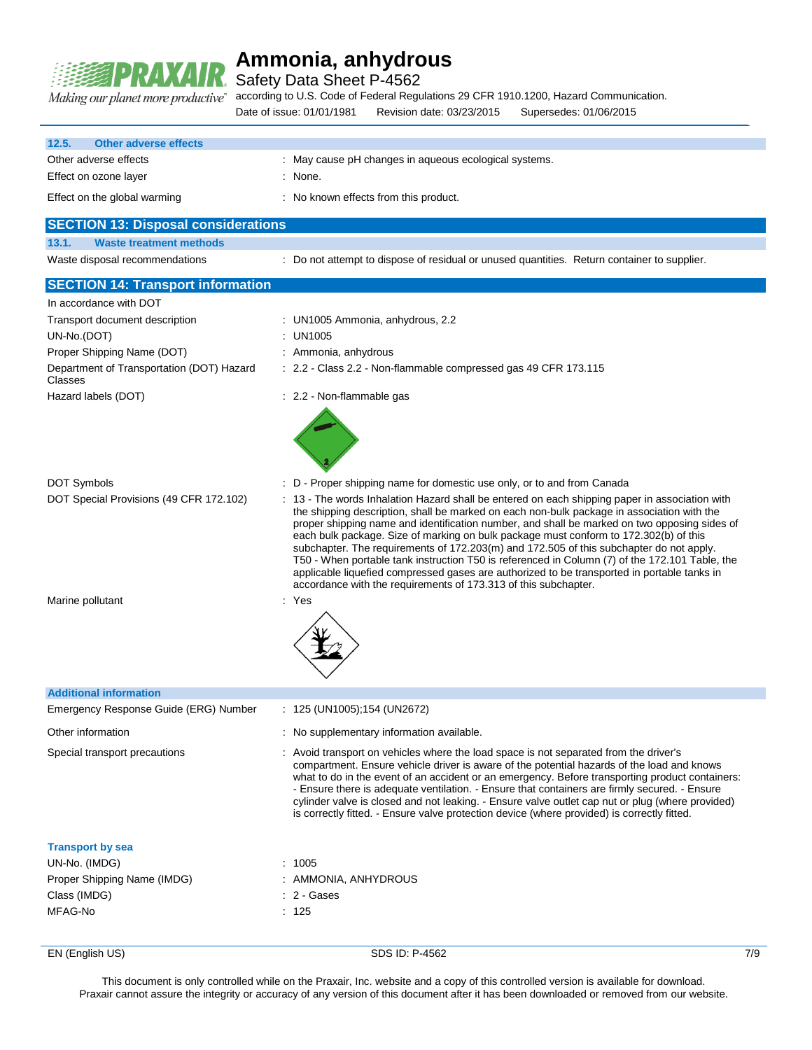

Safety Data Sheet P-4562

according to U.S. Code of Federal Regulations 29 CFR 1910.1200, Hazard Communication.

|                                       | Revision date: 03/23/2015<br>Date of issue: 01/01/1981<br>Supersedes: 01/06/2015 |
|---------------------------------------|----------------------------------------------------------------------------------|
| 12.5.<br><b>Other adverse effects</b> |                                                                                  |
| Other adverse effects                 | : May cause pH changes in aqueous ecological systems.                            |
| Effect on ozone layer                 | : None.                                                                          |
| Effect on the global warming          | : No known effects from this product.                                            |
|                                       |                                                                                  |

### **SECTION 13: Disposal considerations**

**13.1. Waste treatment methods**

Waste disposal recommendations : Do not attempt to dispose of residual or unused quantities. Return container to supplier.

### **SECTION 14: Transport information**

| In accordance with DOT                               |                                                                                                                                                                                                                                                                                                                                                                                                                                                                                                                                                                                                                                                                                                                                                      |
|------------------------------------------------------|------------------------------------------------------------------------------------------------------------------------------------------------------------------------------------------------------------------------------------------------------------------------------------------------------------------------------------------------------------------------------------------------------------------------------------------------------------------------------------------------------------------------------------------------------------------------------------------------------------------------------------------------------------------------------------------------------------------------------------------------------|
| Transport document description<br>UN-No.(DOT)        | : UN1005 Ammonia, anhydrous, 2.2<br><b>UN1005</b>                                                                                                                                                                                                                                                                                                                                                                                                                                                                                                                                                                                                                                                                                                    |
| Proper Shipping Name (DOT)                           | : Ammonia, anhydrous                                                                                                                                                                                                                                                                                                                                                                                                                                                                                                                                                                                                                                                                                                                                 |
| Department of Transportation (DOT) Hazard<br>Classes | : 2.2 - Class 2.2 - Non-flammable compressed gas 49 CFR 173.115                                                                                                                                                                                                                                                                                                                                                                                                                                                                                                                                                                                                                                                                                      |
| Hazard labels (DOT)                                  | : 2.2 - Non-flammable gas                                                                                                                                                                                                                                                                                                                                                                                                                                                                                                                                                                                                                                                                                                                            |
| <b>DOT Symbols</b>                                   | : D - Proper shipping name for domestic use only, or to and from Canada                                                                                                                                                                                                                                                                                                                                                                                                                                                                                                                                                                                                                                                                              |
| DOT Special Provisions (49 CFR 172.102)              | : 13 - The words Inhalation Hazard shall be entered on each shipping paper in association with<br>the shipping description, shall be marked on each non-bulk package in association with the<br>proper shipping name and identification number, and shall be marked on two opposing sides of<br>each bulk package. Size of marking on bulk package must conform to 172.302(b) of this<br>subchapter. The requirements of 172.203(m) and 172.505 of this subchapter do not apply.<br>T50 - When portable tank instruction T50 is referenced in Column (7) of the 172.101 Table, the<br>applicable liquefied compressed gases are authorized to be transported in portable tanks in<br>accordance with the requirements of 173.313 of this subchapter. |
| Marine pollutant                                     | : Yes                                                                                                                                                                                                                                                                                                                                                                                                                                                                                                                                                                                                                                                                                                                                                |
| <b>Additional information</b>                        |                                                                                                                                                                                                                                                                                                                                                                                                                                                                                                                                                                                                                                                                                                                                                      |
| Emergency Response Guide (ERG) Number                | $: 125 \, (UN1005); 154 \, (UN2672)$                                                                                                                                                                                                                                                                                                                                                                                                                                                                                                                                                                                                                                                                                                                 |
| Other information                                    | : No supplementary information available.                                                                                                                                                                                                                                                                                                                                                                                                                                                                                                                                                                                                                                                                                                            |
| Special transport precautions                        | : Avoid transport on vehicles where the load space is not separated from the driver's<br>compartment. Ensure vehicle driver is aware of the potential hazards of the load and knows<br>what to do in the event of an accident or an emergency. Before transporting product containers:<br>- Ensure there is adequate ventilation. - Ensure that containers are firmly secured. - Ensure<br>cylinder valve is closed and not leaking. - Ensure valve outlet cap nut or plug (where provided)<br>is correctly fitted. - Ensure valve protection device (where provided) is correctly fitted.                                                                                                                                                           |
| <b>Transport by sea</b>                              |                                                                                                                                                                                                                                                                                                                                                                                                                                                                                                                                                                                                                                                                                                                                                      |
| UN-No. (IMDG)                                        | : 1005                                                                                                                                                                                                                                                                                                                                                                                                                                                                                                                                                                                                                                                                                                                                               |
| Proper Shipping Name (IMDG)                          | AMMONIA, ANHYDROUS                                                                                                                                                                                                                                                                                                                                                                                                                                                                                                                                                                                                                                                                                                                                   |
| Class (IMDG)                                         | 2 - Gases                                                                                                                                                                                                                                                                                                                                                                                                                                                                                                                                                                                                                                                                                                                                            |
| MFAG-No                                              | : 125                                                                                                                                                                                                                                                                                                                                                                                                                                                                                                                                                                                                                                                                                                                                                |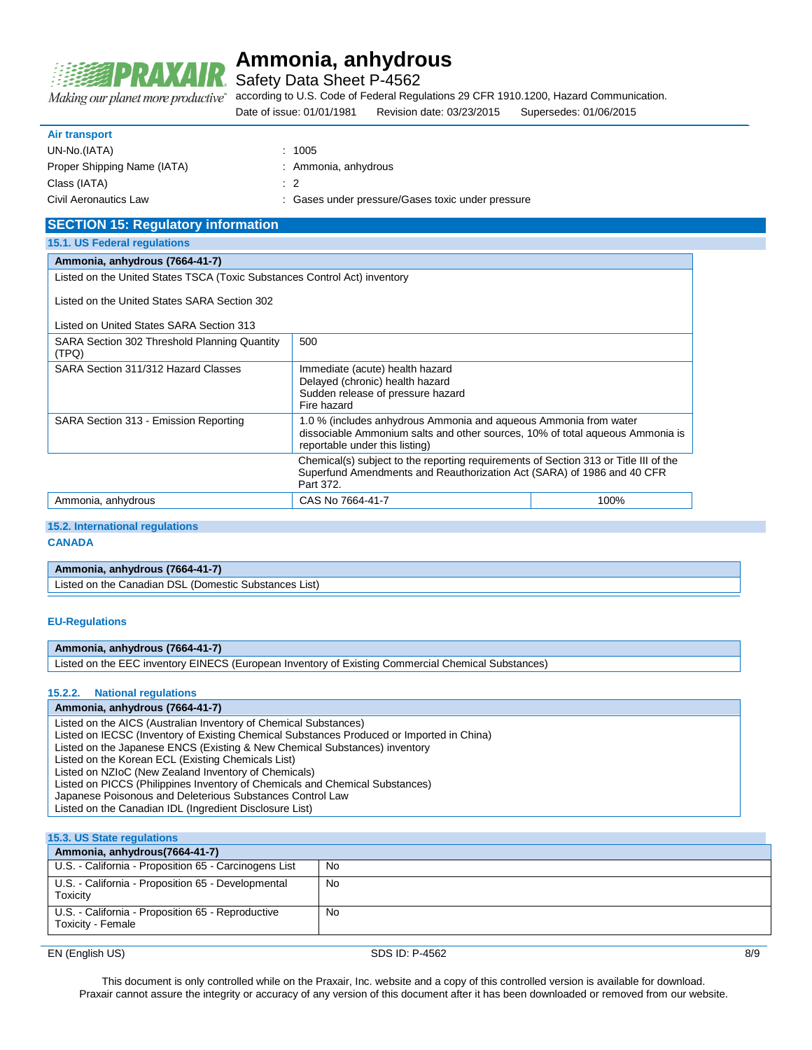

Safety Data Sheet P-4562

Making our planet more productive"

according to U.S. Code of Federal Regulations 29 CFR 1910.1200, Hazard Communication.

Date of issue: 01/01/1981 Revision date: 03/23/2015 Supersedes: 01/06/2015

#### **Air transport**

| UN-No.(IATA)                | :1005                                             |
|-----------------------------|---------------------------------------------------|
| Proper Shipping Name (IATA) | : Ammonia, anhydrous                              |
| Class (IATA)                | $\cdot$ 2                                         |
| Civil Aeronautics Law       | : Gases under pressure/Gases toxic under pressure |

| <b>SECTION 15: Regulatory information</b>                                 |                                                                                                                                                                                     |      |
|---------------------------------------------------------------------------|-------------------------------------------------------------------------------------------------------------------------------------------------------------------------------------|------|
| 15.1. US Federal regulations                                              |                                                                                                                                                                                     |      |
| Ammonia, anhydrous (7664-41-7)                                            |                                                                                                                                                                                     |      |
| Listed on the United States TSCA (Toxic Substances Control Act) inventory |                                                                                                                                                                                     |      |
| Listed on the United States SARA Section 302                              |                                                                                                                                                                                     |      |
| Listed on United States SARA Section 313                                  |                                                                                                                                                                                     |      |
| SARA Section 302 Threshold Planning Quantity<br>(TPQ)                     | 500                                                                                                                                                                                 |      |
| SARA Section 311/312 Hazard Classes                                       | Immediate (acute) health hazard<br>Delayed (chronic) health hazard<br>Sudden release of pressure hazard<br>Fire hazard                                                              |      |
| SARA Section 313 - Emission Reporting                                     | 1.0 % (includes anhydrous Ammonia and aqueous Ammonia from water<br>dissociable Ammonium salts and other sources, 10% of total aqueous Ammonia is<br>reportable under this listing) |      |
|                                                                           | Chemical(s) subject to the reporting requirements of Section 313 or Title III of the<br>Superfund Amendments and Reauthorization Act (SARA) of 1986 and 40 CFR<br>Part 372.         |      |
| Ammonia, anhydrous                                                        | CAS No 7664-41-7                                                                                                                                                                    | 100% |

### **15.2. International regulations**

**CANADA**

### **Ammonia, anhydrous (7664-41-7)**

Listed on the Canadian DSL (Domestic Substances List)

#### **EU-Regulations**

### **Ammonia, anhydrous (7664-41-7)**

Listed on the EEC inventory EINECS (European Inventory of Existing Commercial Chemical Substances)

#### **15.2.2. National regulations**

#### **Ammonia, anhydrous (7664-41-7)**

Listed on the AICS (Australian Inventory of Chemical Substances)

- Listed on IECSC (Inventory of Existing Chemical Substances Produced or Imported in China)
- Listed on the Japanese ENCS (Existing & New Chemical Substances) inventory
- Listed on the Korean ECL (Existing Chemicals List)
- Listed on NZIoC (New Zealand Inventory of Chemicals) Listed on PICCS (Philippines Inventory of Chemicals and Chemical Substances)
- 
- Japanese Poisonous and Deleterious Substances Control Law Listed on the Canadian IDL (Ingredient Disclosure List)

#### **15.3. US State regulations**

| Ammonia, anhydrous (7664-41-7)                                         |     |  |
|------------------------------------------------------------------------|-----|--|
| U.S. - California - Proposition 65 - Carcinogens List                  | No. |  |
| U.S. - California - Proposition 65 - Developmental<br>Toxicity         | No  |  |
| U.S. - California - Proposition 65 - Reproductive<br>Toxicity - Female | No  |  |